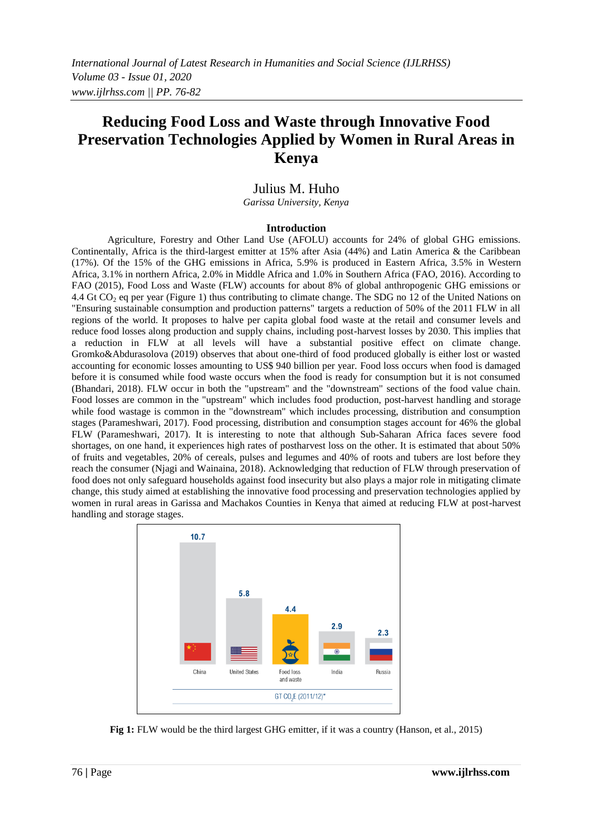# **Reducing Food Loss and Waste through Innovative Food Preservation Technologies Applied by Women in Rural Areas in Kenya**

## Julius M. Huho

*Garissa University, Kenya*

### **Introduction**

Agriculture, Forestry and Other Land Use (AFOLU) accounts for 24% of global GHG emissions. Continentally, Africa is the third-largest emitter at 15% after Asia (44%) and Latin America & the Caribbean (17%). Of the 15% of the GHG emissions in Africa, 5.9% is produced in Eastern Africa, 3.5% in Western Africa, 3.1% in northern Africa, 2.0% in Middle Africa and 1.0% in Southern Africa (FAO, 2016). According to FAO (2015), Food Loss and Waste (FLW) accounts for about 8% of global anthropogenic GHG emissions or 4.4 Gt CO<sub>2</sub> eq per year (Figure 1) thus contributing to climate change. The SDG no 12 of the United Nations on "Ensuring sustainable consumption and production patterns" targets a reduction of 50% of the 2011 FLW in all regions of the world. It proposes to halve per capita global food waste at the retail and consumer levels and reduce food losses along production and supply chains, including post-harvest losses by 2030. This implies that a reduction in FLW at all levels will have a substantial positive effect on climate change. Gromko&Abdurasolova (2019) observes that about one-third of food produced globally is either lost or wasted accounting for economic losses amounting to US\$ 940 billion per year. Food loss occurs when food is damaged before it is consumed while food waste occurs when the food is ready for consumption but it is not consumed (Bhandari, 2018). FLW occur in both the "upstream" and the "downstream" sections of the food value chain. Food losses are common in the "upstream" which includes food production, post-harvest handling and storage while food wastage is common in the "downstream" which includes processing, distribution and consumption stages (Parameshwari, 2017). Food processing, distribution and consumption stages account for 46% the global FLW (Parameshwari, 2017). It is interesting to note that although Sub-Saharan Africa faces severe food shortages, on one hand, it experiences high rates of postharvest loss on the other. It is estimated that about 50% of fruits and vegetables, 20% of cereals, pulses and legumes and 40% of roots and tubers are lost before they reach the consumer (Njagi and Wainaina, 2018). Acknowledging that reduction of FLW through preservation of food does not only safeguard households against food insecurity but also plays a major role in mitigating climate change, this study aimed at establishing the innovative food processing and preservation technologies applied by women in rural areas in Garissa and Machakos Counties in Kenya that aimed at reducing FLW at post-harvest handling and storage stages.



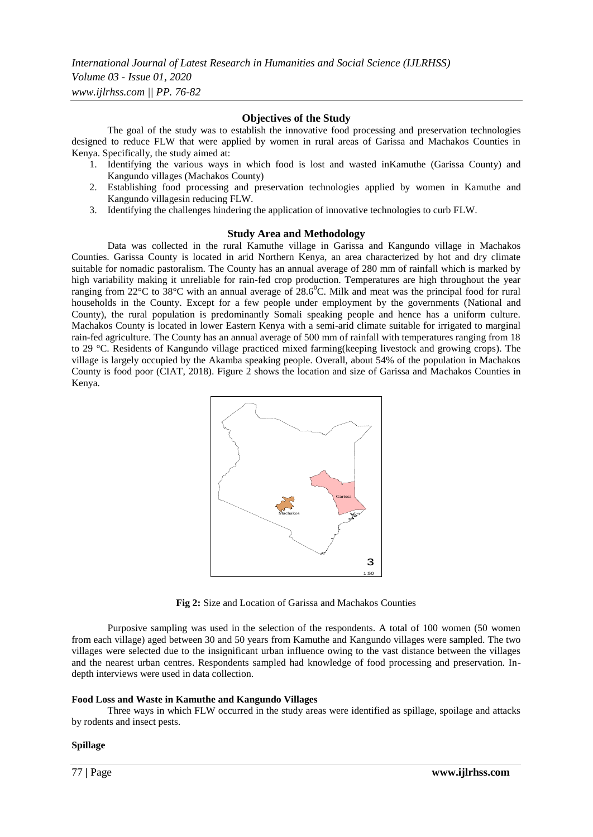### **Objectives of the Study**

The goal of the study was to establish the innovative food processing and preservation technologies designed to reduce FLW that were applied by women in rural areas of Garissa and Machakos Counties in Kenya. Specifically, the study aimed at:

- 1. Identifying the various ways in which food is lost and wasted inKamuthe (Garissa County) and Kangundo villages (Machakos County)
- 2. Establishing food processing and preservation technologies applied by women in Kamuthe and Kangundo villagesin reducing FLW.
- 3. Identifying the challenges hindering the application of innovative technologies to curb FLW.

### **Study Area and Methodology**

Data was collected in the rural Kamuthe village in Garissa and Kangundo village in Machakos Counties. Garissa County is located in arid Northern Kenya, an area characterized by hot and dry climate suitable for nomadic pastoralism. The County has an annual average of 280 mm of rainfall which is marked by high variability making it unreliable for rain-fed crop production. Temperatures are high throughout the year ranging from  $22^{\circ}$ C to  $38^{\circ}$ C with an annual average of  $28.6^{\circ}$ C. Milk and meat was the principal food for rural households in the County. Except for a few people under employment by the governments (National and County), the rural population is predominantly Somali speaking people and hence has a uniform culture. Machakos County is located in lower Eastern Kenya with a semi-arid climate suitable for irrigated to marginal rain-fed agriculture. The County has an annual average of 500 mm of rainfall with temperatures ranging from 18 to 29 °C. Residents of Kangundo village practiced mixed farming(keeping livestock and growing crops). The village is largely occupied by the Akamba speaking people. Overall, about 54% of the population in Machakos County is food poor (CIAT, 2018). Figure 2 shows the location and size of Garissa and Machakos Counties in Kenya.



**Fig 2:** Size and Location of Garissa and Machakos Counties

Purposive sampling was used in the selection of the respondents. A total of 100 women (50 women from each village) aged between 30 and 50 years from Kamuthe and Kangundo villages were sampled. The two villages were selected due to the insignificant urban influence owing to the vast distance between the villages and the nearest urban centres. Respondents sampled had knowledge of food processing and preservation. Indepth interviews were used in data collection.

### **Food Loss and Waste in Kamuthe and Kangundo Villages**

Three ways in which FLW occurred in the study areas were identified as spillage, spoilage and attacks by rodents and insect pests.

### **Spillage**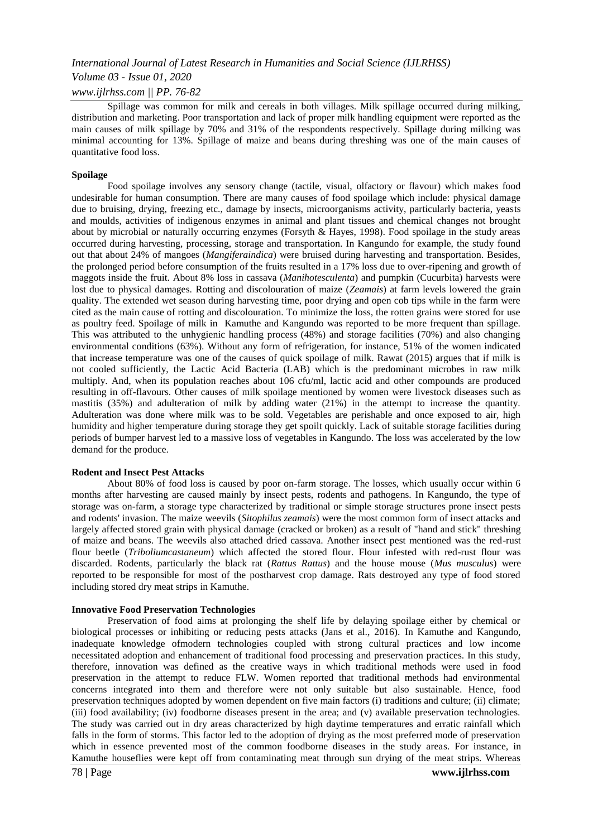### *Volume 03 - Issue 01, 2020*

### *www.ijlrhss.com || PP. 76-82*

Spillage was common for milk and cereals in both villages. Milk spillage occurred during milking, distribution and marketing. Poor transportation and lack of proper milk handling equipment were reported as the main causes of milk spillage by 70% and 31% of the respondents respectively. Spillage during milking was minimal accounting for 13%. Spillage of maize and beans during threshing was one of the main causes of quantitative food loss.

### **Spoilage**

Food spoilage involves any sensory change (tactile, visual, olfactory or flavour) which makes food undesirable for human consumption. There are many causes of food spoilage which include: physical damage due to bruising, drying, freezing etc., damage by insects, microorganisms activity, particularly bacteria, yeasts and moulds, activities of indigenous enzymes in animal and plant tissues and chemical changes not brought about by microbial or naturally occurring enzymes (Forsyth & Hayes, 1998). Food spoilage in the study areas occurred during harvesting, processing, storage and transportation. In Kangundo for example, the study found out that about 24% of mangoes (*Mangiferaindica*) were bruised during harvesting and transportation. Besides, the prolonged period before consumption of the fruits resulted in a 17% loss due to over-ripening and growth of maggots inside the fruit. About 8% loss in cassava (*Manihotesculenta*) and pumpkin (Cucurbita) harvests were lost due to physical damages. Rotting and discolouration of maize (*Zeamais*) at farm levels lowered the grain quality. The extended wet season during harvesting time, poor drying and open cob tips while in the farm were cited as the main cause of rotting and discolouration. To minimize the loss, the rotten grains were stored for use as poultry feed. Spoilage of milk in Kamuthe and Kangundo was reported to be more frequent than spillage. This was attributed to the unhygienic handling process (48%) and storage facilities (70%) and also changing environmental conditions (63%). Without any form of refrigeration, for instance, 51% of the women indicated that increase temperature was one of the causes of quick spoilage of milk. Rawat (2015) argues that if milk is not cooled sufficiently, the Lactic Acid Bacteria (LAB) which is the predominant microbes in raw milk multiply. And, when its population reaches about 106 cfu/ml, lactic acid and other compounds are produced resulting in off-flavours. Other causes of milk spoilage mentioned by women were livestock diseases such as mastitis (35%) and adulteration of milk by adding water (21%) in the attempt to increase the quantity. Adulteration was done where milk was to be sold. Vegetables are perishable and once exposed to air, high humidity and higher temperature during storage they get spoilt quickly. Lack of suitable storage facilities during periods of bumper harvest led to a massive loss of vegetables in Kangundo. The loss was accelerated by the low demand for the produce.

### **Rodent and Insect Pest Attacks**

About 80% of food loss is caused by poor on-farm storage. The losses, which usually occur within 6 months after harvesting are caused mainly by insect pests, rodents and pathogens. In Kangundo, the type of storage was on-farm, a storage type characterized by traditional or simple storage structures prone insect pests and rodents' invasion. The maize weevils (*Sitophilus zeamais*) were the most common form of insect attacks and largely affected stored grain with physical damage (cracked or broken) as a result of "hand and stick" threshing of maize and beans. The weevils also attached dried cassava. Another insect pest mentioned was the red-rust flour beetle (*Triboliumcastaneum*) which affected the stored flour. Flour infested with red-rust flour was discarded. Rodents, particularly the black rat (*Rattus Rattus*) and the house mouse (*Mus musculus*) were reported to be responsible for most of the postharvest crop damage. Rats destroyed any type of food stored including stored dry meat strips in Kamuthe.

### **Innovative Food Preservation Technologies**

Preservation of food aims at prolonging the shelf life by delaying spoilage either by chemical or biological processes or inhibiting or reducing pests attacks (Jans et al., 2016). In Kamuthe and Kangundo, inadequate knowledge ofmodern technologies coupled with strong cultural practices and low income necessitated adoption and enhancement of traditional food processing and preservation practices. In this study, therefore, innovation was defined as the creative ways in which traditional methods were used in food preservation in the attempt to reduce FLW. Women reported that traditional methods had environmental concerns integrated into them and therefore were not only suitable but also sustainable. Hence, food preservation techniques adopted by women dependent on five main factors (i) traditions and culture; (ii) climate; (iii) food availability; (iv) foodborne diseases present in the area; and (v) available preservation technologies. The study was carried out in dry areas characterized by high daytime temperatures and erratic rainfall which falls in the form of storms. This factor led to the adoption of drying as the most preferred mode of preservation which in essence prevented most of the common foodborne diseases in the study areas. For instance, in Kamuthe houseflies were kept off from contaminating meat through sun drying of the meat strips. Whereas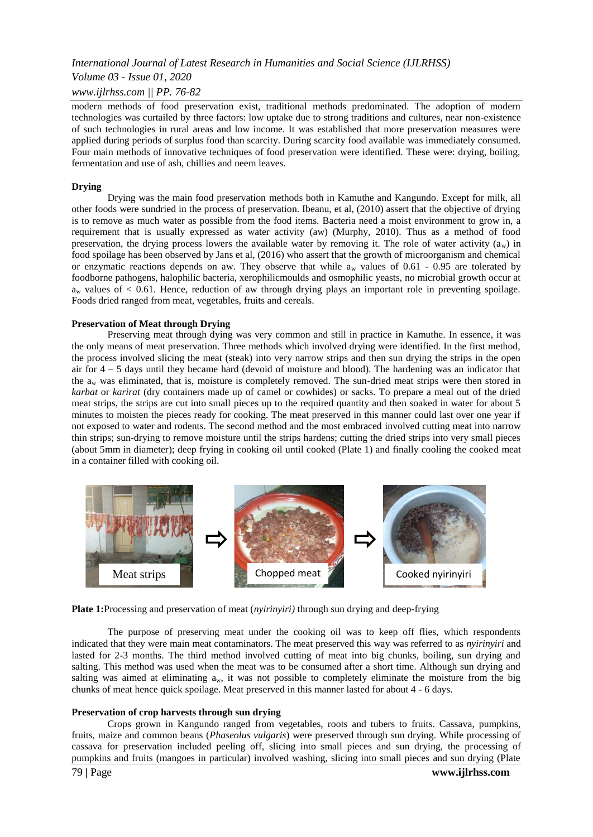*Volume 03 - Issue 01, 2020*

### *www.ijlrhss.com || PP. 76-82*

modern methods of food preservation exist, traditional methods predominated. The adoption of modern technologies was curtailed by three factors: low uptake due to strong traditions and cultures, near non-existence of such technologies in rural areas and low income. It was established that more preservation measures were applied during periods of surplus food than scarcity. During scarcity food available was immediately consumed. Four main methods of innovative techniques of food preservation were identified. These were: drying, boiling, fermentation and use of ash, chillies and neem leaves.

### **Drying**

Drying was the main food preservation methods both in Kamuthe and Kangundo. Except for milk, all other foods were sundried in the process of preservation. Ibeanu, et al, (2010) assert that the objective of drying is to remove as much water as possible from the food items. Bacteria need a moist environment to grow in, a requirement that is usually expressed as water activity (aw) (Murphy, 2010). Thus as a method of food preservation, the drying process lowers the available water by removing it. The role of water activity  $(a_w)$  in food spoilage has been observed by Jans et al, (2016) who assert that the growth of microorganism and chemical or enzymatic reactions depends on aw. They observe that while  $a_w$  values of 0.61 - 0.95 are tolerated by foodborne pathogens, halophilic bacteria, xerophilicmoulds and osmophilic yeasts, no microbial growth occur at  $a_w$  values of  $\lt 0.61$ . Hence, reduction of aw through drying plays an important role in preventing spoilage. Foods dried ranged from meat, vegetables, fruits and cereals.

### **Preservation of Meat through Drying**

Preserving meat through dying was very common and still in practice in Kamuthe. In essence, it was the only means of meat preservation. Three methods which involved drying were identified. In the first method, the process involved slicing the meat (steak) into very narrow strips and then sun drying the strips in the open air for 4 – 5 days until they became hard (devoid of moisture and blood). The hardening was an indicator that the a<sup>w</sup> was eliminated, that is, moisture is completely removed. The sun-dried meat strips were then stored in *karbat* or *karirat* (dry containers made up of camel or cowhides) or sacks. To prepare a meal out of the dried meat strips, the strips are cut into small pieces up to the required quantity and then soaked in water for about 5 minutes to moisten the pieces ready for cooking. The meat preserved in this manner could last over one year if not exposed to water and rodents. The second method and the most embraced involved cutting meat into narrow thin strips; sun-drying to remove moisture until the strips hardens; cutting the dried strips into very small pieces (about 5mm in diameter); deep frying in cooking oil until cooked (Plate 1) and finally cooling the cooked meat in a container filled with cooking oil.



**Plate 1:**Processing and preservation of meat (*nyirinyiri)* through sun drying and deep-frying

The purpose of preserving meat under the cooking oil was to keep off flies, which respondents indicated that they were main meat contaminators. The meat preserved this way was referred to as *nyirinyiri* and lasted for 2-3 months. The third method involved cutting of meat into big chunks, boiling, sun drying and salting. This method was used when the meat was to be consumed after a short time. Although sun drying and salting was aimed at eliminating  $a_w$ , it was not possible to completely eliminate the moisture from the big chunks of meat hence quick spoilage. Meat preserved in this manner lasted for about 4 - 6 days.

### **Preservation of crop harvests through sun drying**

Crops grown in Kangundo ranged from vegetables, roots and tubers to fruits. Cassava, pumpkins, fruits, maize and common beans (*Phaseolus vulgaris*) were preserved through sun drying. While processing of cassava for preservation included peeling off, slicing into small pieces and sun drying, the processing of pumpkins and fruits (mangoes in particular) involved washing, slicing into small pieces and sun drying (Plate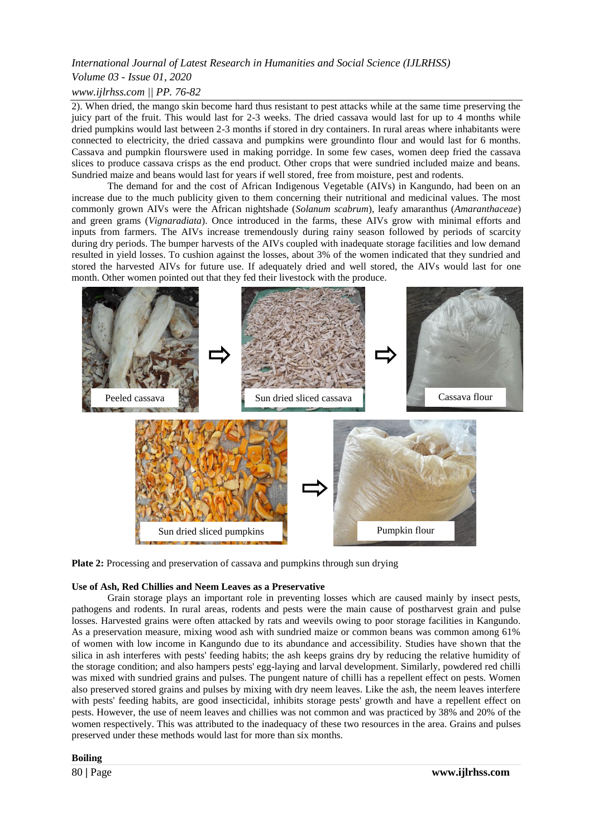## *Volume 03 - Issue 01, 2020*

## *www.ijlrhss.com || PP. 76-82*

2). When dried, the mango skin become hard thus resistant to pest attacks while at the same time preserving the juicy part of the fruit. This would last for 2-3 weeks. The dried cassava would last for up to 4 months while dried pumpkins would last between 2-3 months if stored in dry containers. In rural areas where inhabitants were connected to electricity, the dried cassava and pumpkins were groundinto flour and would last for 6 months. Cassava and pumpkin flourswere used in making porridge. In some few cases, women deep fried the cassava slices to produce cassava crisps as the end product. Other crops that were sundried included maize and beans. Sundried maize and beans would last for years if well stored, free from moisture, pest and rodents.

The demand for and the cost of African Indigenous Vegetable (AIVs) in Kangundo, had been on an increase due to the much publicity given to them concerning their nutritional and medicinal values. The most commonly grown AIVs were the African nightshade (*Solanum scabrum*), leafy amaranthus (*Amaranthaceae*) and green grams (*Vignaradiata*). Once introduced in the farms, these AIVs grow with minimal efforts and inputs from farmers. The AIVs increase tremendously during rainy season followed by periods of scarcity during dry periods. The bumper harvests of the AIVs coupled with inadequate storage facilities and low demand resulted in yield losses. To cushion against the losses, about 3% of the women indicated that they sundried and stored the harvested AIVs for future use. If adequately dried and well stored, the AIVs would last for one month. Other women pointed out that they fed their livestock with the produce.



**Plate 2:** Processing and preservation of cassava and pumpkins through sun drying

### **Use of Ash, Red Chillies and Neem Leaves as a Preservative**

Grain storage plays an important role in preventing losses which are caused mainly by insect pests, pathogens and rodents. In rural areas, rodents and pests were the main cause of postharvest grain and pulse losses. Harvested grains were often attacked by rats and weevils owing to poor storage facilities in Kangundo. As a preservation measure, mixing wood ash with sundried maize or common beans was common among 61% of women with low income in Kangundo due to its abundance and accessibility. Studies have shown that the silica in ash interferes with pests' feeding habits; the ash keeps grains dry by reducing the relative humidity of the storage condition; and also hampers pests' egg-laying and larval development. Similarly, powdered red chilli was mixed with sundried grains and pulses. The pungent nature of chilli has a repellent effect on pests. Women also preserved stored grains and pulses by mixing with dry neem leaves. Like the ash, the neem leaves interfere with pests' feeding habits, are good insecticidal, inhibits storage pests' growth and have a repellent effect on pests. However, the use of neem leaves and chillies was not common and was practiced by 38% and 20% of the women respectively. This was attributed to the inadequacy of these two resources in the area. Grains and pulses preserved under these methods would last for more than six months.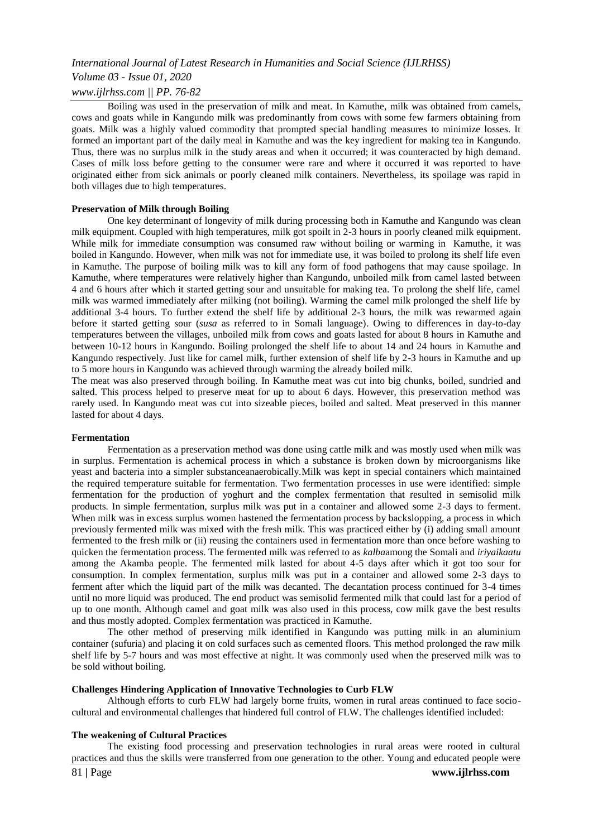## *Volume 03 - Issue 01, 2020*

## *www.ijlrhss.com || PP. 76-82*

Boiling was used in the preservation of milk and meat. In Kamuthe, milk was obtained from camels, cows and goats while in Kangundo milk was predominantly from cows with some few farmers obtaining from goats. Milk was a highly valued commodity that prompted special handling measures to minimize losses. It formed an important part of the daily meal in Kamuthe and was the key ingredient for making tea in Kangundo. Thus, there was no surplus milk in the study areas and when it occurred; it was counteracted by high demand. Cases of milk loss before getting to the consumer were rare and where it occurred it was reported to have originated either from sick animals or poorly cleaned milk containers. Nevertheless, its spoilage was rapid in both villages due to high temperatures.

#### **Preservation of Milk through Boiling**

One key determinant of longevity of milk during processing both in Kamuthe and Kangundo was clean milk equipment. Coupled with high temperatures, milk got spoilt in 2-3 hours in poorly cleaned milk equipment. While milk for immediate consumption was consumed raw without boiling or warming in Kamuthe, it was boiled in Kangundo. However, when milk was not for immediate use, it was boiled to prolong its shelf life even in Kamuthe. The purpose of boiling milk was to kill any form of food pathogens that may cause spoilage. In Kamuthe, where temperatures were relatively higher than Kangundo, unboiled milk from camel lasted between 4 and 6 hours after which it started getting sour and unsuitable for making tea. To prolong the shelf life, camel milk was warmed immediately after milking (not boiling). Warming the camel milk prolonged the shelf life by additional 3-4 hours. To further extend the shelf life by additional 2-3 hours, the milk was rewarmed again before it started getting sour (*susa* as referred to in Somali language). Owing to differences in day-to-day temperatures between the villages, unboiled milk from cows and goats lasted for about 8 hours in Kamuthe and between 10-12 hours in Kangundo. Boiling prolonged the shelf life to about 14 and 24 hours in Kamuthe and Kangundo respectively. Just like for camel milk, further extension of shelf life by 2-3 hours in Kamuthe and up to 5 more hours in Kangundo was achieved through warming the already boiled milk.

The meat was also preserved through boiling. In Kamuthe meat was cut into big chunks, boiled, sundried and salted. This process helped to preserve meat for up to about 6 days. However, this preservation method was rarely used. In Kangundo meat was cut into sizeable pieces, boiled and salted. Meat preserved in this manner lasted for about 4 days.

#### **Fermentation**

Fermentation as a preservation method was done using cattle milk and was mostly used when milk was in surplus. Fermentation is achemical process in which a substance is broken down by microorganisms like yeast and bacteria into a simpler substanceanaerobically.Milk was kept in special containers which maintained the required temperature suitable for fermentation. Two fermentation processes in use were identified: simple fermentation for the production of yoghurt and the complex fermentation that resulted in semisolid milk products. In simple fermentation, surplus milk was put in a container and allowed some 2-3 days to ferment. When milk was in excess surplus women hastened the fermentation process by backslopping, a process in which previously fermented milk was mixed with the fresh milk. This was practiced either by (i) adding small amount fermented to the fresh milk or (ii) reusing the containers used in fermentation more than once before washing to quicken the fermentation process. The fermented milk was referred to as *kalba*among the Somali and *iriyaikaatu* among the Akamba people. The fermented milk lasted for about 4-5 days after which it got too sour for consumption. In complex fermentation, surplus milk was put in a container and allowed some 2-3 days to ferment after which the liquid part of the milk was decanted. The decantation process continued for 3-4 times until no more liquid was produced. The end product was semisolid fermented milk that could last for a period of up to one month. Although camel and goat milk was also used in this process, cow milk gave the best results and thus mostly adopted. Complex fermentation was practiced in Kamuthe.

The other method of preserving milk identified in Kangundo was putting milk in an aluminium container (sufuria) and placing it on cold surfaces such as cemented floors. This method prolonged the raw milk shelf life by 5-7 hours and was most effective at night. It was commonly used when the preserved milk was to be sold without boiling.

### **Challenges Hindering Application of Innovative Technologies to Curb FLW**

Although efforts to curb FLW had largely borne fruits, women in rural areas continued to face sociocultural and environmental challenges that hindered full control of FLW. The challenges identified included:

### **The weakening of Cultural Practices**

The existing food processing and preservation technologies in rural areas were rooted in cultural practices and thus the skills were transferred from one generation to the other. Young and educated people were